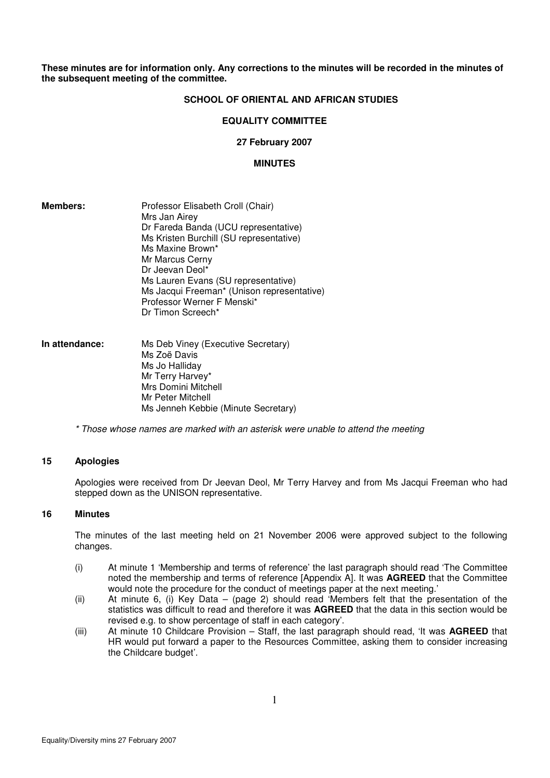#### **These minutes are for information only. Any corrections to the minutes will be recorded in the minutes of the subsequent meeting of the committee.**

#### **SCHOOL OF ORIENTAL AND AFRICAN STUDIES**

#### **EQUALITY COMMITTEE**

#### **27 February 2007**

#### **MINUTES**

| Members: | Professor Elisabeth Croll (Chair)          |
|----------|--------------------------------------------|
|          | Mrs Jan Airey                              |
|          | Dr Fareda Banda (UCU representative)       |
|          | Ms Kristen Burchill (SU representative)    |
|          | Ms Maxine Brown*                           |
|          | Mr Marcus Cerny                            |
|          | Dr Jeevan Deol*                            |
|          | Ms Lauren Evans (SU representative)        |
|          | Ms Jacqui Freeman* (Unison representative) |
|          | Professor Werner F Menski*                 |
|          | Dr Timon Screech*                          |

| In attendance: | Ms Deb Viney (Executive Secretary)  |  |  |
|----------------|-------------------------------------|--|--|
|                | Ms Zoë Davis                        |  |  |
|                | Ms Jo Halliday                      |  |  |
|                | Mr Terry Harvey*                    |  |  |
|                | Mrs Domini Mitchell                 |  |  |
|                | Mr Peter Mitchell                   |  |  |
|                | Ms Jenneh Kebbie (Minute Secretary) |  |  |

\* Those whose names are marked with an asterisk were unable to attend the meeting

#### **15 Apologies**

Apologies were received from Dr Jeevan Deol, Mr Terry Harvey and from Ms Jacqui Freeman who had stepped down as the UNISON representative.

#### **16 Minutes**

The minutes of the last meeting held on 21 November 2006 were approved subject to the following changes.

- (i) At minute 1 'Membership and terms of reference' the last paragraph should read 'The Committee noted the membership and terms of reference [Appendix A]. It was **AGREED** that the Committee would note the procedure for the conduct of meetings paper at the next meeting.'
- (ii) At minute 6, (i) Key Data (page 2) should read 'Members felt that the presentation of the statistics was difficult to read and therefore it was **AGREED** that the data in this section would be revised e.g. to show percentage of staff in each category'.
- (iii) At minute 10 Childcare Provision Staff, the last paragraph should read, 'It was **AGREED** that HR would put forward a paper to the Resources Committee, asking them to consider increasing the Childcare budget'.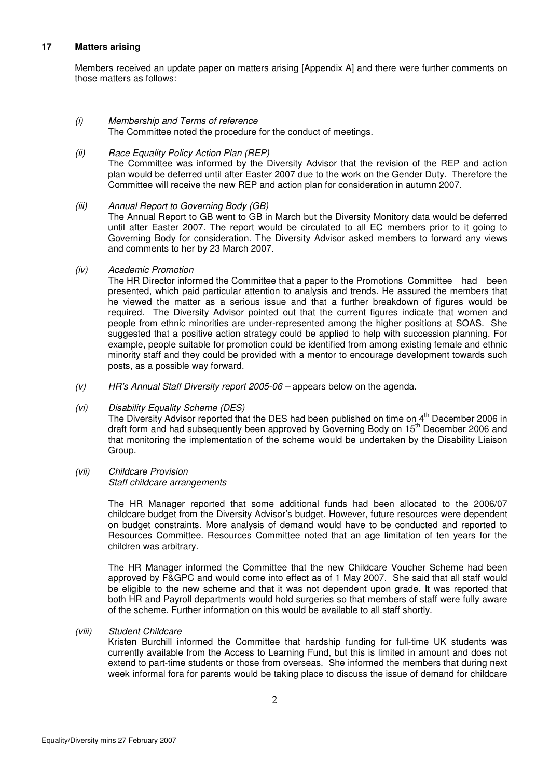#### **17 Matters arising**

Members received an update paper on matters arising [Appendix A] and there were further comments on those matters as follows:

(i) Membership and Terms of reference The Committee noted the procedure for the conduct of meetings.

#### (ii) Race Equality Policy Action Plan (REP)

The Committee was informed by the Diversity Advisor that the revision of the REP and action plan would be deferred until after Easter 2007 due to the work on the Gender Duty. Therefore the Committee will receive the new REP and action plan for consideration in autumn 2007.

(iii) Annual Report to Governing Body (GB)

The Annual Report to GB went to GB in March but the Diversity Monitory data would be deferred until after Easter 2007. The report would be circulated to all EC members prior to it going to Governing Body for consideration. The Diversity Advisor asked members to forward any views and comments to her by 23 March 2007.

(iv) Academic Promotion

The HR Director informed the Committee that a paper to the Promotions Committee had been presented, which paid particular attention to analysis and trends. He assured the members that he viewed the matter as a serious issue and that a further breakdown of figures would be required. The Diversity Advisor pointed out that the current figures indicate that women and people from ethnic minorities are under-represented among the higher positions at SOAS. She suggested that a positive action strategy could be applied to help with succession planning. For example, people suitable for promotion could be identified from among existing female and ethnic minority staff and they could be provided with a mentor to encourage development towards such posts, as a possible way forward.

 $(v)$  HR's Annual Staff Diversity report 2005-06 – appears below on the agenda.

## (vi) Disability Equality Scheme (DES)

The Diversity Advisor reported that the DES had been published on time on 4<sup>th</sup> December 2006 in draft form and had subsequently been approved by Governing Body on 15<sup>th</sup> December 2006 and that monitoring the implementation of the scheme would be undertaken by the Disability Liaison Group.

(vii) Childcare Provision

Staff childcare arrangements

The HR Manager reported that some additional funds had been allocated to the 2006/07 childcare budget from the Diversity Advisor's budget. However, future resources were dependent on budget constraints. More analysis of demand would have to be conducted and reported to Resources Committee. Resources Committee noted that an age limitation of ten years for the children was arbitrary.

The HR Manager informed the Committee that the new Childcare Voucher Scheme had been approved by F&GPC and would come into effect as of 1 May 2007. She said that all staff would be eligible to the new scheme and that it was not dependent upon grade. It was reported that both HR and Payroll departments would hold surgeries so that members of staff were fully aware of the scheme. Further information on this would be available to all staff shortly.

(viii) Student Childcare

Kristen Burchill informed the Committee that hardship funding for full-time UK students was currently available from the Access to Learning Fund, but this is limited in amount and does not extend to part-time students or those from overseas. She informed the members that during next week informal fora for parents would be taking place to discuss the issue of demand for childcare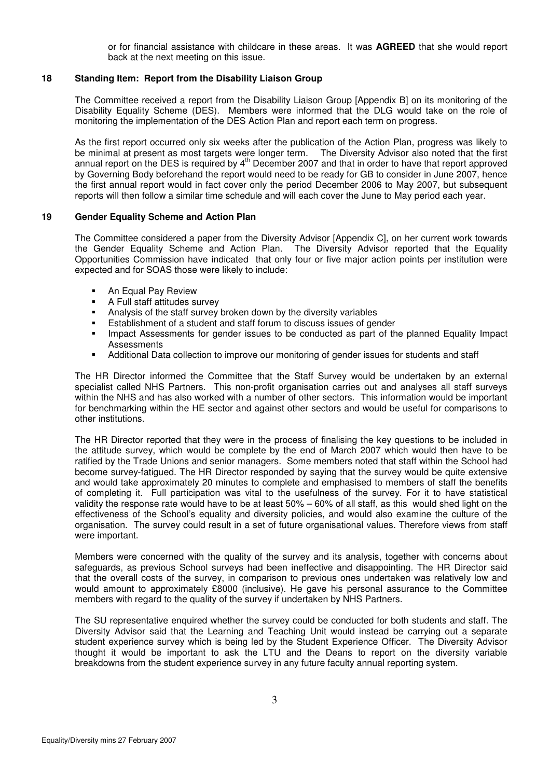or for financial assistance with childcare in these areas. It was **AGREED** that she would report back at the next meeting on this issue.

## **18 Standing Item: Report from the Disability Liaison Group**

The Committee received a report from the Disability Liaison Group [Appendix B] on its monitoring of the Disability Equality Scheme (DES). Members were informed that the DLG would take on the role of monitoring the implementation of the DES Action Plan and report each term on progress.

As the first report occurred only six weeks after the publication of the Action Plan, progress was likely to be minimal at present as most targets were longer term. The Diversity Advisor also noted that the first annual report on the DES is required by 4<sup>th</sup> December 2007 and that in order to have that report approved by Governing Body beforehand the report would need to be ready for GB to consider in June 2007, hence the first annual report would in fact cover only the period December 2006 to May 2007, but subsequent reports will then follow a similar time schedule and will each cover the June to May period each year.

#### **19 Gender Equality Scheme and Action Plan**

 The Committee considered a paper from the Diversity Advisor [Appendix C], on her current work towards the Gender Equality Scheme and Action Plan. The Diversity Advisor reported that the Equality Opportunities Commission have indicated that only four or five major action points per institution were expected and for SOAS those were likely to include:

- An Equal Pay Review<br>• A Full staff attitudes su
- A Full staff attitudes survey
- Analysis of the staff survey broken down by the diversity variables
- Establishment of a student and staff forum to discuss issues of gender
- **IMPACT Assessments for gender issues to be conducted as part of the planned Equality Impact Assessments**
- Additional Data collection to improve our monitoring of gender issues for students and staff

 The HR Director informed the Committee that the Staff Survey would be undertaken by an external specialist called NHS Partners. This non-profit organisation carries out and analyses all staff surveys within the NHS and has also worked with a number of other sectors. This information would be important for benchmarking within the HE sector and against other sectors and would be useful for comparisons to other institutions.

 The HR Director reported that they were in the process of finalising the key questions to be included in the attitude survey, which would be complete by the end of March 2007 which would then have to be ratified by the Trade Unions and senior managers. Some members noted that staff within the School had become survey-fatigued. The HR Director responded by saying that the survey would be quite extensive and would take approximately 20 minutes to complete and emphasised to members of staff the benefits of completing it. Full participation was vital to the usefulness of the survey. For it to have statistical validity the response rate would have to be at least 50% – 60% of all staff, as this would shed light on the effectiveness of the School's equality and diversity policies, and would also examine the culture of the organisation. The survey could result in a set of future organisational values. Therefore views from staff were important.

 Members were concerned with the quality of the survey and its analysis, together with concerns about safeguards, as previous School surveys had been ineffective and disappointing. The HR Director said that the overall costs of the survey, in comparison to previous ones undertaken was relatively low and would amount to approximately £8000 (inclusive). He gave his personal assurance to the Committee members with regard to the quality of the survey if undertaken by NHS Partners.

 The SU representative enquired whether the survey could be conducted for both students and staff. The Diversity Advisor said that the Learning and Teaching Unit would instead be carrying out a separate student experience survey which is being led by the Student Experience Officer. The Diversity Advisor thought it would be important to ask the LTU and the Deans to report on the diversity variable breakdowns from the student experience survey in any future faculty annual reporting system.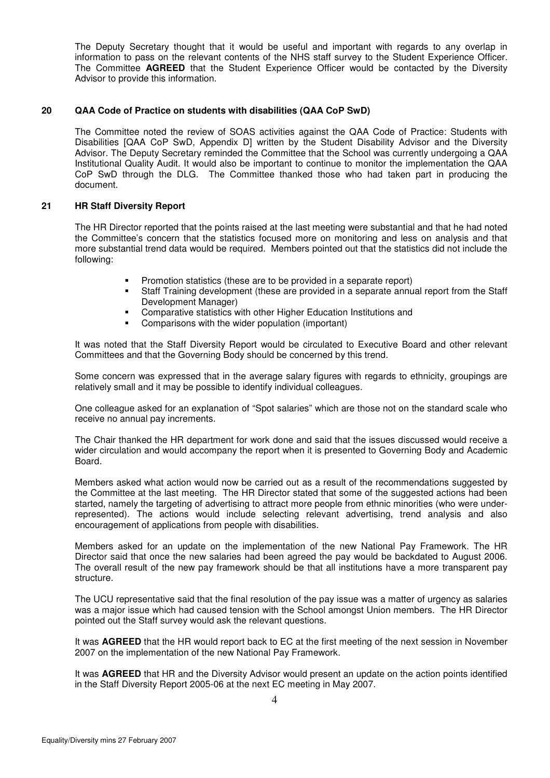The Deputy Secretary thought that it would be useful and important with regards to any overlap in information to pass on the relevant contents of the NHS staff survey to the Student Experience Officer. The Committee **AGREED** that the Student Experience Officer would be contacted by the Diversity Advisor to provide this information.

#### **20 QAA Code of Practice on students with disabilities (QAA CoP SwD)**

The Committee noted the review of SOAS activities against the QAA Code of Practice: Students with Disabilities [QAA CoP SwD, Appendix D] written by the Student Disability Advisor and the Diversity Advisor. The Deputy Secretary reminded the Committee that the School was currently undergoing a QAA Institutional Quality Audit. It would also be important to continue to monitor the implementation the QAA CoP SwD through the DLG. The Committee thanked those who had taken part in producing the document.

#### **21 HR Staff Diversity Report**

The HR Director reported that the points raised at the last meeting were substantial and that he had noted the Committee's concern that the statistics focused more on monitoring and less on analysis and that more substantial trend data would be required. Members pointed out that the statistics did not include the following:

- Promotion statistics (these are to be provided in a separate report)
- Staff Training development (these are provided in a separate annual report from the Staff Development Manager)
- **EXECOMPARATIVE STATISTS WITH OTHER FE** Comparative statistics with other Higher Education Institutions and
- **Comparisons with the wider population (important)**

It was noted that the Staff Diversity Report would be circulated to Executive Board and other relevant Committees and that the Governing Body should be concerned by this trend.

Some concern was expressed that in the average salary figures with regards to ethnicity, groupings are relatively small and it may be possible to identify individual colleagues.

One colleague asked for an explanation of "Spot salaries" which are those not on the standard scale who receive no annual pay increments.

The Chair thanked the HR department for work done and said that the issues discussed would receive a wider circulation and would accompany the report when it is presented to Governing Body and Academic Board.

 Members asked what action would now be carried out as a result of the recommendations suggested by the Committee at the last meeting. The HR Director stated that some of the suggested actions had been started, namely the targeting of advertising to attract more people from ethnic minorities (who were underrepresented). The actions would include selecting relevant advertising, trend analysis and also encouragement of applications from people with disabilities.

 Members asked for an update on the implementation of the new National Pay Framework. The HR Director said that once the new salaries had been agreed the pay would be backdated to August 2006. The overall result of the new pay framework should be that all institutions have a more transparent pay structure.

The UCU representative said that the final resolution of the pay issue was a matter of urgency as salaries was a major issue which had caused tension with the School amongst Union members. The HR Director pointed out the Staff survey would ask the relevant questions.

It was **AGREED** that the HR would report back to EC at the first meeting of the next session in November 2007 on the implementation of the new National Pay Framework.

It was **AGREED** that HR and the Diversity Advisor would present an update on the action points identified in the Staff Diversity Report 2005-06 at the next EC meeting in May 2007.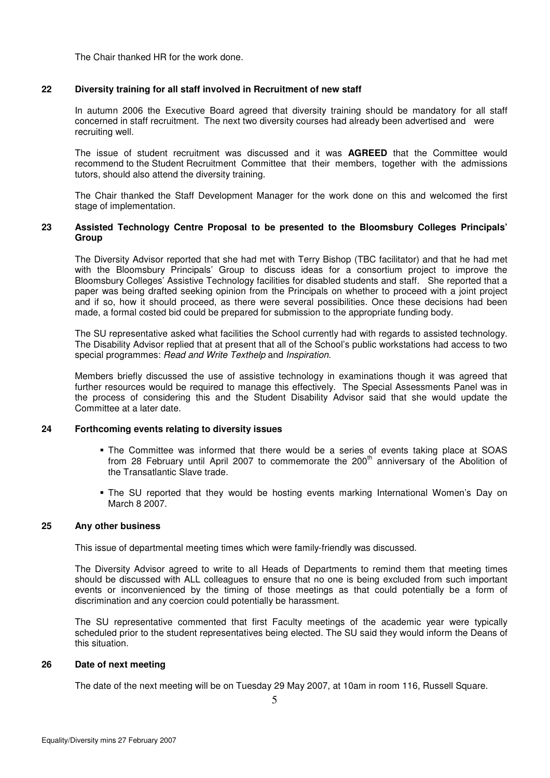The Chair thanked HR for the work done.

#### **22 Diversity training for all staff involved in Recruitment of new staff**

 In autumn 2006 the Executive Board agreed that diversity training should be mandatory for all staff concerned in staff recruitment. The next two diversity courses had already been advertised and were recruiting well.

 The issue of student recruitment was discussed and it was **AGREED** that the Committee would recommend to the Student Recruitment Committee that their members, together with the admissions tutors, should also attend the diversity training.

 The Chair thanked the Staff Development Manager for the work done on this and welcomed the first stage of implementation.

#### **23 Assisted Technology Centre Proposal to be presented to the Bloomsbury Colleges Principals' Group**

 The Diversity Advisor reported that she had met with Terry Bishop (TBC facilitator) and that he had met with the Bloomsbury Principals' Group to discuss ideas for a consortium project to improve the Bloomsbury Colleges' Assistive Technology facilities for disabled students and staff. She reported that a paper was being drafted seeking opinion from the Principals on whether to proceed with a joint project and if so, how it should proceed, as there were several possibilities. Once these decisions had been made, a formal costed bid could be prepared for submission to the appropriate funding body.

 The SU representative asked what facilities the School currently had with regards to assisted technology. The Disability Advisor replied that at present that all of the School's public workstations had access to two special programmes: Read and Write Texthelp and Inspiration.

 Members briefly discussed the use of assistive technology in examinations though it was agreed that further resources would be required to manage this effectively. The Special Assessments Panel was in the process of considering this and the Student Disability Advisor said that she would update the Committee at a later date.

## **24 Forthcoming events relating to diversity issues**

- The Committee was informed that there would be a series of events taking place at SOAS from 28 February until April 2007 to commemorate the 200<sup>th</sup> anniversary of the Abolition of the Transatlantic Slave trade.
- The SU reported that they would be hosting events marking International Women's Day on March 8 2007.

#### **25 Any other business**

This issue of departmental meeting times which were family-friendly was discussed.

The Diversity Advisor agreed to write to all Heads of Departments to remind them that meeting times should be discussed with ALL colleagues to ensure that no one is being excluded from such important events or inconvenienced by the timing of those meetings as that could potentially be a form of discrimination and any coercion could potentially be harassment.

The SU representative commented that first Faculty meetings of the academic year were typically scheduled prior to the student representatives being elected. The SU said they would inform the Deans of this situation.

#### **26 Date of next meeting**

The date of the next meeting will be on Tuesday 29 May 2007, at 10am in room 116, Russell Square.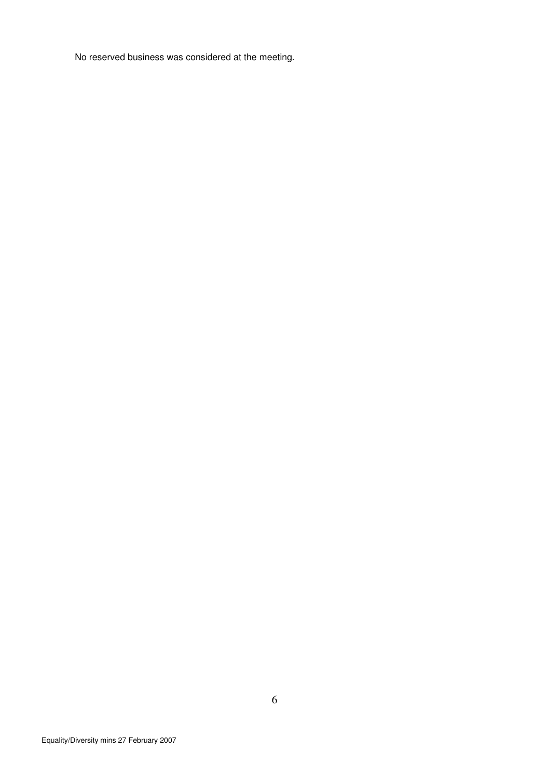No reserved business was considered at the meeting.